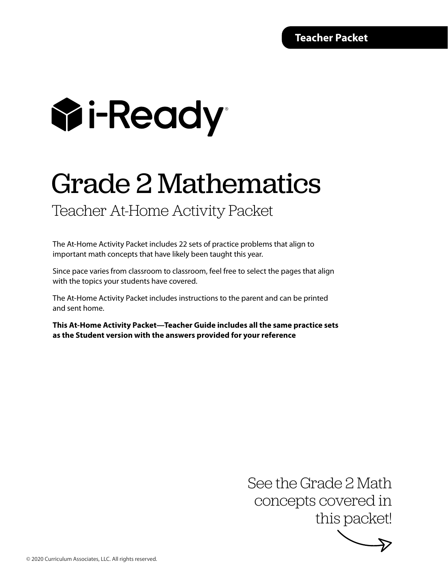# **Wi-Ready**

## Grade 2 Mathematics

Teacher At-Home Activity Packet

The At-Home Activity Packet includes 22 sets of practice problems that align to important math concepts that have likely been taught this year.

Since pace varies from classroom to classroom, feel free to select the pages that align with the topics your students have covered.

The At-Home Activity Packet includes instructions to the parent and can be printed and sent home.

**This At-Home Activity Packet—Teacher Guide includes all the same practice sets as the Student version with the answers provided for your reference**

> See the Grade 2 Math concepts covered in this packet!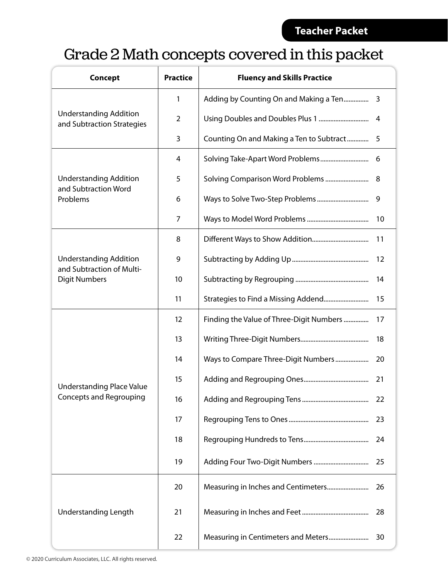### Grade 2 Math concepts covered in this packet

| <b>Concept</b>                                              | <b>Practice</b> | <b>Fluency and Skills Practice</b>       |    |  |
|-------------------------------------------------------------|-----------------|------------------------------------------|----|--|
|                                                             | 1               |                                          |    |  |
| <b>Understanding Addition</b><br>and Subtraction Strategies | $\overline{2}$  |                                          | 4  |  |
|                                                             | 3               | Counting On and Making a Ten to Subtract | -5 |  |
|                                                             | 4               |                                          | 6  |  |
| <b>Understanding Addition</b>                               | 5               |                                          | 8  |  |
| and Subtraction Word<br>Problems                            | 6               |                                          | 9  |  |
|                                                             | 7               |                                          | 10 |  |
|                                                             | 8               |                                          | 11 |  |
| <b>Understanding Addition</b><br>and Subtraction of Multi-  | 9               |                                          | 12 |  |
| <b>Digit Numbers</b>                                        | 10              |                                          |    |  |
|                                                             | 11              |                                          | 15 |  |
|                                                             | 12              | Finding the Value of Three-Digit Numbers | 17 |  |
|                                                             | 13              |                                          | 18 |  |
|                                                             | 14              | Ways to Compare Three-Digit Numbers      | 20 |  |
| <b>Understanding Place Value</b>                            | 15              |                                          | 21 |  |
| Concepts and Regrouping                                     | 16              |                                          | 22 |  |
|                                                             | 17              |                                          | 23 |  |
|                                                             | 18              |                                          | 24 |  |
|                                                             | 19              |                                          | 25 |  |
|                                                             | 20              |                                          | 26 |  |
| <b>Understanding Length</b>                                 | 21              |                                          | 28 |  |
|                                                             | 22              |                                          | 30 |  |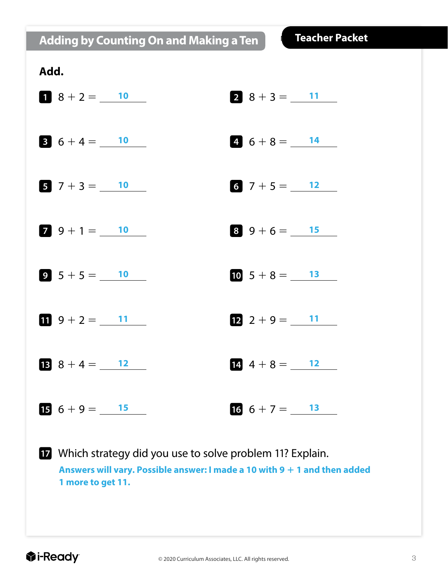**Adding by Counting On and Making a Ten**

| Add.                           |                         |
|--------------------------------|-------------------------|
| $1 \t8 + 2 = 10$               | $2 \t8 + 3 = 11$        |
| $6+4=\_ 10$                    | 4. $6+8=\underline{$ 14 |
| $7 + 3 = 10$                   | 6 $7 + 5 = 12$          |
| $7 \t9 + 1 = 10$               | $8\,9+6=\_$ 15          |
| $9\ 5+5=\_$ 10                 | 10 $5 + 8 = 13$         |
| 1 $9 + 2 = 11$                 | $12$ 2 + 9 = $11$       |
| <b>13</b> $8 + 4 = 12$         | $14 \t4 + 8 =$ 12       |
| $\bullet + 9 = \underline{15}$ | $16\;6+7=\_$ 13         |
|                                |                         |

 Which strategy did you use to solve problem 11? Explain. Answers will vary. Possible answer: I made a 10 with 9 + 1 and then added **1 more to get 11.**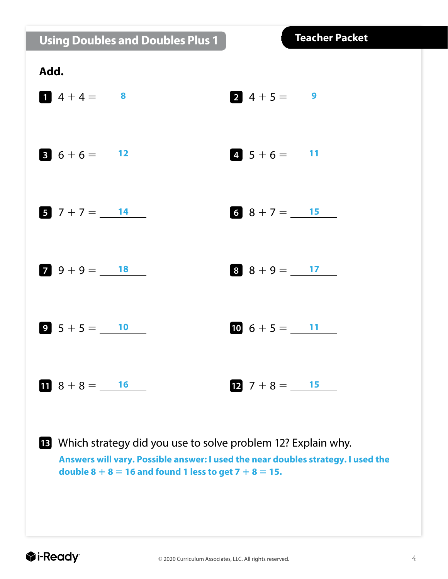|  |  | <b>Using Doubles and Doubles Plus 1</b> |
|--|--|-----------------------------------------|
|  |  |                                         |



**Answers will vary. Possible answer: I used the near doubles strategy. I used the double 8 + 8 = 16 and found 1 less to get 7 + 8 = 15.**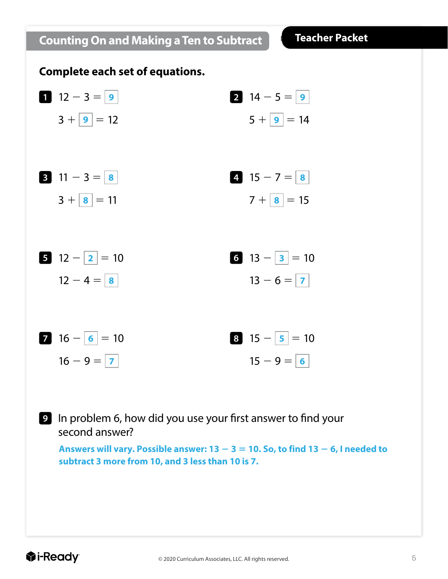## **1**  $12 - 3 = 9$  $3 + |9| = 12$   $5 + |9|$ **3** 11 - 3 =  $|8|$  $3 + |8| = 11$ **5**  $|12 - |2| = 10$  $12 - 4 = | 8$ **7** 16  $-$  **6**  $=$  10  $16 - 9 = 7$ **2**  $14 - 5 =$  **9**  $5 + 9 = 14$ **4** 15 - 7 =  $\,$  8  $7 + |8| = 15$ **6**  $|13 - 3| = 10$  $13 - 6 = |7$ **8**  $|15 - 5| = 10$  $15 - 9 = 6$ **9** In problem 6, how did you use your first answer to find your second answer? **Complete each set of equations.** Answers will vary. Possible answer:  $13 - 3 = 10$ . So, to find  $13 - 6$ , I needed to **subtract 3 more from 10, and 3 less than 10 is 7.**

**Counting On and Making a Ten to Subtract**

**Teacher Packet**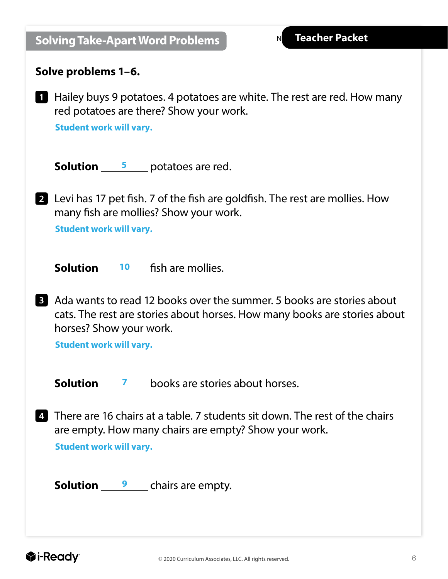$\mathsf{N}$ 

|                         | Solve problems 1–6.                                       |                                                                                                                                                    |
|-------------------------|-----------------------------------------------------------|----------------------------------------------------------------------------------------------------------------------------------------------------|
| 1                       | <b>Student work will vary.</b>                            | Hailey buys 9 potatoes. 4 potatoes are white. The rest are red. How many<br>red potatoes are there? Show your work.                                |
|                         |                                                           | <b>Solution</b> $\frac{5}{2}$ potatoes are red.                                                                                                    |
|                         | <b>Student work will vary.</b>                            | 2 Levi has 17 pet fish. 7 of the fish are goldfish. The rest are mollies. How<br>many fish are mollies? Show your work.                            |
|                         |                                                           | <b>Solution</b> 10 fish are mollies.                                                                                                               |
| $\overline{\mathbf{3}}$ | horses? Show your work.<br><b>Student work will vary.</b> | Ada wants to read 12 books over the summer. 5 books are stories about<br>cats. The rest are stories about horses. How many books are stories about |
|                         |                                                           | <b>Solution</b> 7 books are stories about horses.                                                                                                  |
|                         | <b>Student work will vary.</b>                            | 4 There are 16 chairs at a table. 7 students sit down. The rest of the chairs<br>are empty. How many chairs are empty? Show your work.             |
|                         |                                                           | <b>Solution</b> $\frac{9}{2}$ chairs are empty.                                                                                                    |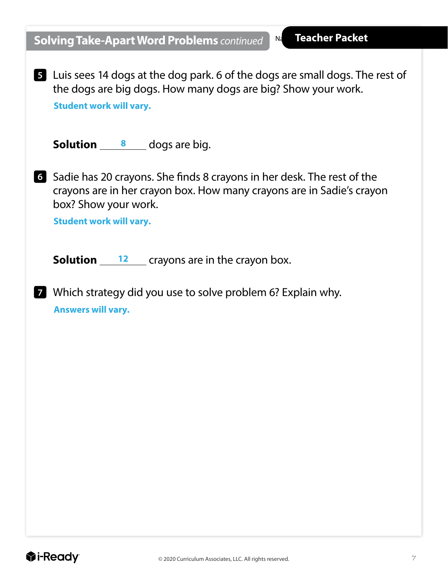$N<sub>d</sub>$ 

**5** Luis sees 14 dogs at the dog park. 6 of the dogs are small dogs. The rest of the dogs are big dogs. How many dogs are big? Show your work. **Student work will vary.**

**Solution** 8 dogs are big.

**6** Sadie has 20 crayons. She finds 8 crayons in her desk. The rest of the crayons are in her crayon box. How many crayons are in Sadie's crayon box? Show your work.

**Student work will vary.**

**Solution** 12 crayons are in the crayon box.

**7** Which strategy did you use to solve problem 6? Explain why. **Answers will vary.**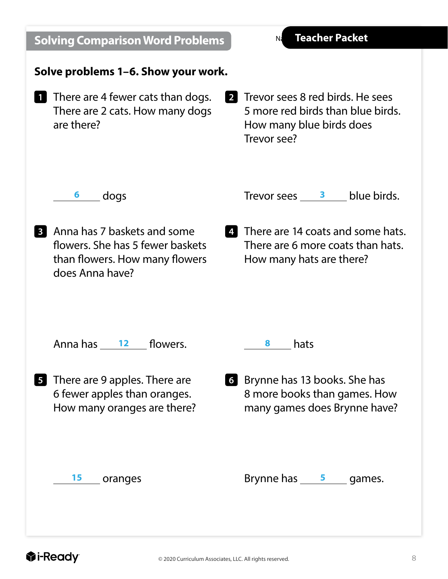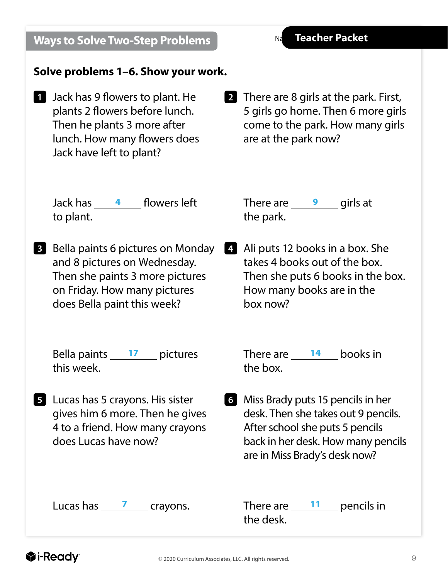| © 2020 Curriculum Associates, LLC. All rights reserved. | 9 |
|---------------------------------------------------------|---|
|                                                         |   |

#### **Ways to Solve Two-Step Problems**

#### **Solve problems 1–6. Show your work.**

- **1** Jack has 9 flowers to plant. He plants 2 flowers before lunch. Then he plants 3 more after lunch. How many flowers does Jack have left to plant?
- **2** There are 8 girls at the park. First, 5 girls go home. Then 6 more girls come to the park. How many girls are at the park now?

Jack has <u>4</u> flowers left There are 19 to plant.

**3** Bella paints 6 pictures on Monday and 8 pictures on Wednesday. Then she paints 3 more pictures on Friday. How many pictures does Bella paint this week?

Bella paints 17 pictures this week.

**5** Lucas has 5 crayons. His sister gives him 6 more. Then he gives 4 to a friend. How many crayons does Lucas have now?

Lucas has  $\frac{7}{2}$  crayons.

There are  $\frac{9}{2}$  girls at the park.

**4** Ali puts 12 books in a box. She takes 4 books out of the box. Then she puts 6 books in the box. How many books are in the box now?

> There are  $\frac{14}{2}$  books in the box.

**6** Miss Brady puts 15 pencils in her desk. Then she takes out 9 pencils. After school she puts 5 pencils back in her desk. How many pencils are in Miss Brady's desk now?

There are  $\frac{11}{2}$  pencils in the desk.

N<sub>d</sub>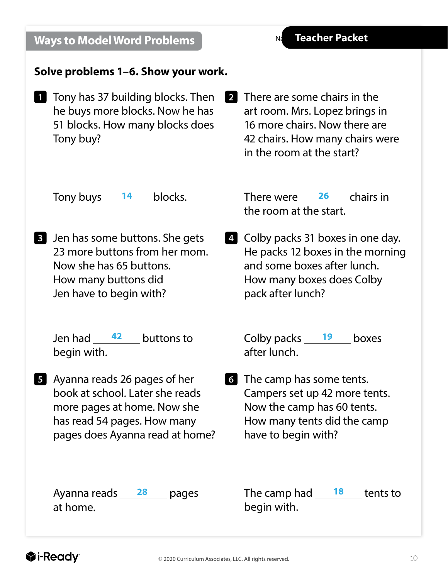#### **Ways to Model Word Problems**

 $Nd$ 

#### **Solve problems 1–6. Show your work.**

- **1** Tony has 37 building blocks. Then he buys more blocks. Now he has 51 blocks. How many blocks does Tony buy?
- **2** There are some chairs in the art room. Mrs. Lopez brings in 16 more chairs. Now there are 42 chairs. How many chairs were in the room at the start?

Tony buys  $14$  blocks.

**3** Jen has some buttons. She gets 23 more buttons from her mom. Now she has 65 buttons. How many buttons did Jen have to begin with?

> Jen had  $42$  buttons to begin with.

**5** Ayanna reads 26 pages of her book at school. Later she reads more pages at home. Now she has read 54 pages. How many pages does Ayanna read at home?

Ayanna reads  $28$  pages at home.

14 blocks. There were 26 chairs in the room at the start.

> **4** Colby packs 31 boxes in one day. He packs 12 boxes in the morning and some boxes after lunch. How many boxes does Colby pack after lunch?

**42 buttons to Colby packs 19 boxes** after lunch.

> **6** The camp has some tents. Campers set up 42 more tents. Now the camp has 60 tents. How many tents did the camp have to begin with?

The camp had tents to **28 18** begin with.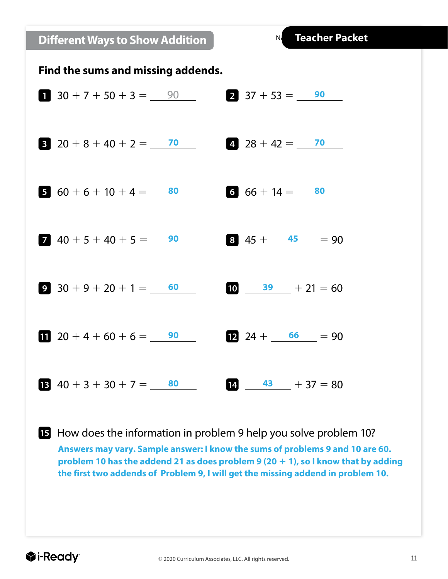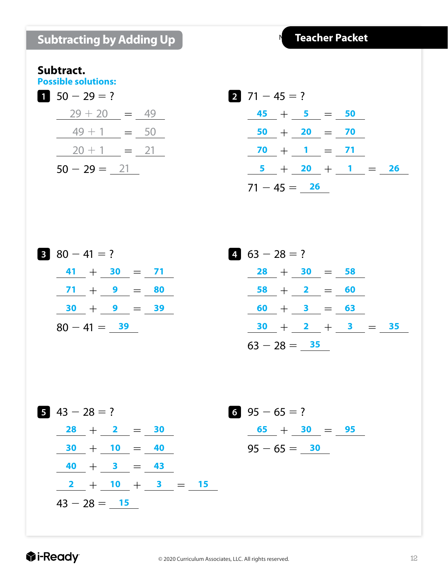|  | <b>Subtracting by Adding Up</b> |
|--|---------------------------------|
|  |                                 |

#### **Subtract.**

**Possible solutions:**

$$
50 - 29 = ?
$$
  

$$
\frac{29 + 20}{49 + 1} = \frac{49}{50}
$$
  

$$
\frac{20 + 1}{50 - 29 = 21}
$$
  

$$
\frac{21}{50 - 29 = 21}
$$

$$
271-45=?
$$
  
\n
$$
\frac{45}{50} + \frac{5}{20} = \frac{50}{70}
$$
  
\n
$$
\frac{70}{5} + \frac{1}{20} = \frac{71}{71}
$$
  
\n
$$
\frac{5}{71-45} = \frac{26}{26}
$$

80 - 41 = ?  
\n
$$
\frac{41}{71} + \frac{30}{9} = \frac{71}{80}
$$
\n
$$
\frac{71}{30} + \frac{9}{9} = \frac{80}{39}
$$
\n
$$
80 - 41 = \frac{39}{9}
$$

| $4\quad 63 - 28 = ?$ |  |                   |  |  |  |  |  |  |
|----------------------|--|-------------------|--|--|--|--|--|--|
|                      |  | $28 + 30 = 58$    |  |  |  |  |  |  |
|                      |  | $58 + 2 = 60$     |  |  |  |  |  |  |
|                      |  | $60 + 3 = 63$     |  |  |  |  |  |  |
|                      |  | $30 + 2 + 3 = 35$ |  |  |  |  |  |  |
| $63 - 28 = 35$       |  |                   |  |  |  |  |  |  |

$$
43 - 28 = ?
$$
\n
$$
\frac{28}{30} + \frac{2}{10} = \frac{30}{40}
$$
\n
$$
\frac{40}{40} + \frac{3}{40} = \frac{43}{40}
$$
\n
$$
\frac{2}{43 - 28} = \frac{15}{15}
$$
\n
$$
43 - 28 = \frac{15}{40}
$$

**6** 95  $-65$  = ?  $\frac{65}{10} + \frac{30}{10} = \frac{95}{10}$  $95 - 65 = 30$ 

#### **Ti-Ready**

 $\mathbf{L}$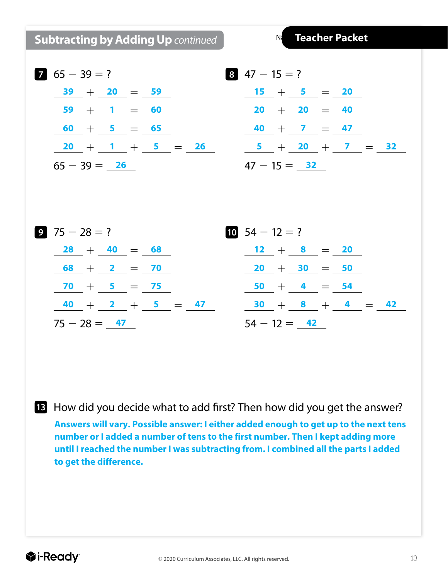**Subtracting by Adding Up** *continued*

 $N<sub>i</sub>$ 

$$
65 - 39 = ?
$$
\n
$$
\frac{39}{59} + \frac{20}{1} = \frac{59}{60}
$$
\n
$$
\frac{59}{60} + \frac{1}{5} = \frac{65}{65}
$$
\n
$$
\frac{20}{65 - 39} = \frac{26}{65}
$$

$$
\frac{20}{1} = \frac{59}{60}
$$
  
\n
$$
\frac{15}{5} = \frac{5}{65}
$$
  
\n
$$
\frac{1}{1} + \frac{5}{5} = \frac{26}{65}
$$
  
\n
$$
\frac{1}{40} + \frac{7}{1} = \frac{47}{47}
$$
  
\n
$$
\frac{26}{47 - 15} = \frac{32}{47}
$$



**13** How did you decide what to add first? Then how did you get the answer?

**Answers will vary. Possible answer: I either added enough to get up to the next tens number or I added a number of tens to the first number. Then I kept adding more until I reached the number I was subtracting from. I combined all the parts I added to get the difference.**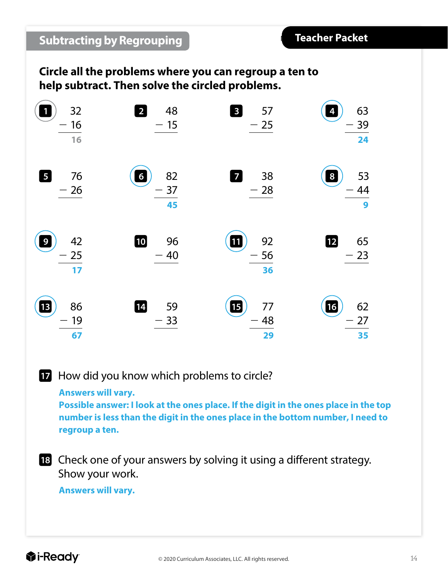#### **Circle all the problems where you can regroup a ten to help subtract. Then solve the circled problems.**

| 32<br>16<br>16                     | $\overline{2}$<br>48<br>$-15$                                | 3 <sub>1</sub><br>57<br>$-25$  | 63<br>4<br>39<br>24         |
|------------------------------------|--------------------------------------------------------------|--------------------------------|-----------------------------|
| 5 <sub>5</sub><br>76<br>$-26$      | 82<br>$6\phantom{a}$<br>37<br>$\overline{\phantom{0}}$<br>45 | $\overline{7}$<br>38<br>$-28$  | 53<br>8<br>44<br>9          |
| 42<br>$\boldsymbol{9}$<br>25<br>17 | 10<br>96<br>$-40$                                            | 92<br>$\boxed{11}$<br>56<br>36 | $\boxed{12}$<br>65<br>$-23$ |
| $\boxed{13}$<br>86<br>19<br>67     | 14<br>59<br>$-33$                                            | 15<br>77<br>48<br>29           | 16<br>62<br>27<br>35        |

How did you know which problems to circle?

**Answers will vary.**

**Possible answer: I look at the ones place. If the digit in the ones place in the top number is less than the digit in the ones place in the bottom number, I need to regroup a ten.**

 Check one of your answers by solving it using a different strategy. Show your work.

**Answers will vary.**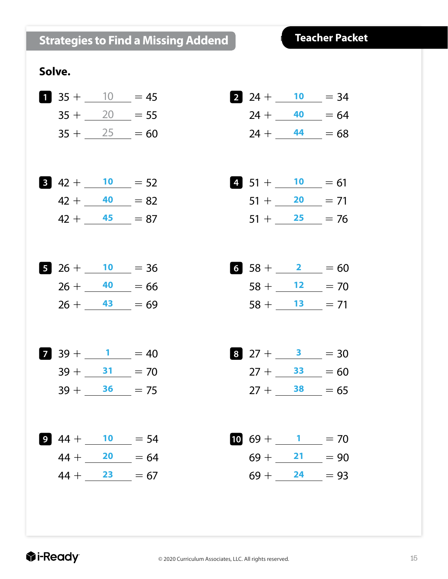#### **Strategies to Find a Missing Addend**

#### **Teacher Packet**

#### **Solve.**



**2** 24 +  $\underline{\hspace{1cm}}$  10 = 34  $24 + 40 = 64$  $24 + \underline{44} = 68$ 

$$
4. \quad 51 + \underline{\hspace{1em}} 10 = 61
$$
\n
$$
51 + \underline{\hspace{1em}} 20 = 71
$$
\n
$$
51 + \underline{\hspace{1em}} 25 = 76
$$

$$
6 \quad 58 + \underline{\hspace{1em}} 2 = 60
$$
\n
$$
58 + \underline{\hspace{1em}} 12 = 70
$$
\n
$$
58 + \underline{\hspace{1em}} 13 = 71
$$

$$
\begin{array}{rcl}\n\text{8} & 27 + \underline{\hspace{1cm}} & 3 & = 30 \\
27 + \underline{\hspace{1cm}} & 33 & = 60 \\
27 + \underline{\hspace{1cm}} & 38 & = 65\n\end{array}
$$

$$
\frac{10}{69} + \frac{1}{21} = 70
$$
  

$$
69 + \frac{21}{24} = 90
$$
  

$$
69 + \frac{24}{24} = 93
$$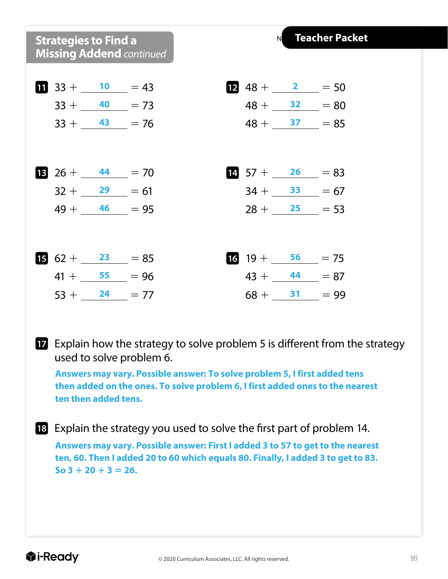#### **Strategies to Find a Missing Addend** *continued*



 $\mathsf{N}$ 

**Teacher Packet**

 Explain how the strategy to solve problem 5 is different from the strategy used to solve problem 6.

**Answers may vary. Possible answer: To solve problem 5, I first added tens then added on the ones. To solve problem 6, I first added ones to the nearest ten then added tens.**

 Explain the strategy you used to solve the first part of problem 14. **Answers may vary. Possible answer: First I added 3 to 57 to get to the nearest ten, 60. Then I added 20 to 60 which equals 80. Finally, I added 3 to get to 83.** 

 $\textbf{So } 3 + 20 + 3 = 26.$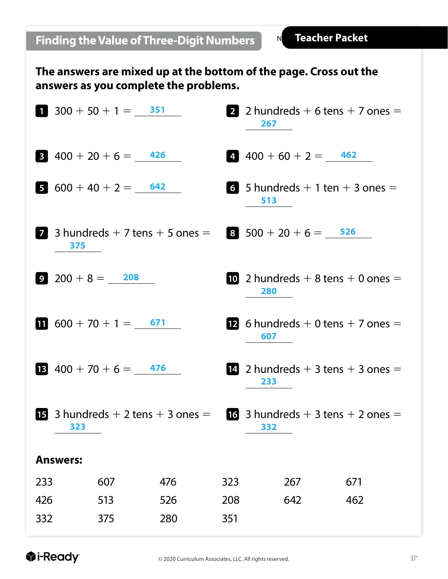**The answers are mixed up at the bottom of the page. Cross out the answers as you complete the problems.**

|                |                    | $300 + 50 + 1 = 351$                           |     |     | 267                                        | 2 2 hundreds $+$ 6 tens $+$ 7 ones $=$         |
|----------------|--------------------|------------------------------------------------|-----|-----|--------------------------------------------|------------------------------------------------|
| 3 <sup>1</sup> |                    | $400 + 20 + 6 = 426$                           |     |     | $4\,90 + 60 + 2 = 462$                     |                                                |
|                |                    | 5 $600 + 40 + 2 = 642$                         |     |     | 6 5 hundreds $+1$ ten $+3$ ones $=$<br>513 |                                                |
| 7              | 375                | 3 hundreds $+$ 7 tens $+$ 5 ones $=$           |     |     | $3\quad 500 + 20 + 6 = 526$                |                                                |
|                | $9\ 200 + 8 = 208$ |                                                |     |     | 280                                        | 10 2 hundreds $+$ 8 tens $+$ 0 ones $=$        |
|                |                    | 1 $600 + 70 + 1 = 671$                         |     |     | 607                                        | <b>12</b> 6 hundreds $+$ 0 tens $+$ 7 ones $=$ |
|                |                    | <b>B</b> $400 + 70 + 6 = 476$                  |     |     | 233                                        | <b>14</b> 2 hundreds $+$ 3 tens $+$ 3 ones $=$ |
|                | 323                | <b>15</b> 3 hundreds $+$ 2 tens $+$ 3 ones $=$ |     |     | 332                                        | 16 3 hundreds $+$ 3 tens $+$ 2 ones $=$        |
|                | <b>Answers:</b>    |                                                |     |     |                                            |                                                |
| 233            |                    | 607                                            | 476 | 323 | 267                                        | 671                                            |
| 426            |                    | 513                                            | 526 | 208 | 642                                        | 462                                            |
| 332            |                    | 375                                            | 280 | 351 |                                            |                                                |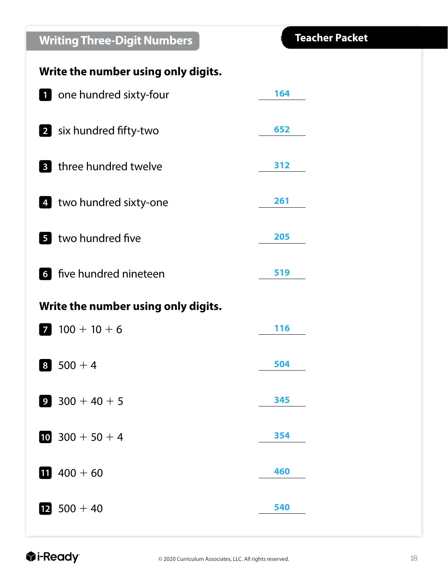### **Writing Three-Digit Numbers**

#### **Write the number using only digits.**

|                | <b>1</b> one hundred sixty-four     | 164 |
|----------------|-------------------------------------|-----|
|                | 2 six hundred fifty-two             | 652 |
| 3 <sup>1</sup> | three hundred twelve                | 312 |
|                | 4 two hundred sixty-one             | 261 |
|                | 5 two hundred five                  | 205 |
|                | <b>6</b> five hundred nineteen      | 519 |
|                | Write the number using only digits. |     |
| $\overline{7}$ | $100 + 10 + 6$                      | 116 |
| 8              | $500 + 4$                           | 504 |
| 9              | $300 + 40 + 5$                      | 345 |
|                | 10 $300 + 50 + 4$                   | 354 |
|                | 11 $400 + 60$                       | 460 |
|                | $12$ 500 + 40                       | 540 |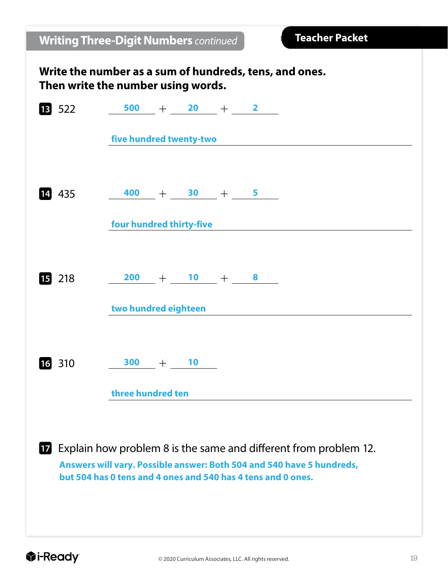| <b>Writing Three-Digit Numbers continued</b>                                                 |                                                              |  |    |  |  | <b>Teacher Packet</b>                                                                                                                     |  |  |
|----------------------------------------------------------------------------------------------|--------------------------------------------------------------|--|----|--|--|-------------------------------------------------------------------------------------------------------------------------------------------|--|--|
| Write the number as a sum of hundreds, tens, and ones.<br>Then write the number using words. |                                                              |  |    |  |  |                                                                                                                                           |  |  |
| 13 522                                                                                       | $\frac{500}{ } + \frac{20}{ } + \frac{2}{ }$                 |  |    |  |  |                                                                                                                                           |  |  |
|                                                                                              | five hundred twenty-two                                      |  |    |  |  |                                                                                                                                           |  |  |
| 14 435                                                                                       | $\frac{400}{1} + \frac{30}{1} + \frac{5}{1}$                 |  |    |  |  |                                                                                                                                           |  |  |
|                                                                                              | four hundred thirty-five                                     |  |    |  |  |                                                                                                                                           |  |  |
| <b>15</b> 218                                                                                | $\frac{200}{10} + \frac{10}{10} + \frac{8}{10}$              |  |    |  |  |                                                                                                                                           |  |  |
|                                                                                              | two hundred eighteen                                         |  |    |  |  |                                                                                                                                           |  |  |
| 310<br><b>16</b>                                                                             | 300                                                          |  | 10 |  |  |                                                                                                                                           |  |  |
|                                                                                              | three hundred ten                                            |  |    |  |  |                                                                                                                                           |  |  |
| 17                                                                                           | but 504 has 0 tens and 4 ones and 540 has 4 tens and 0 ones. |  |    |  |  | Explain how problem 8 is the same and different from problem 12.<br>Answers will vary. Possible answer: Both 504 and 540 have 5 hundreds, |  |  |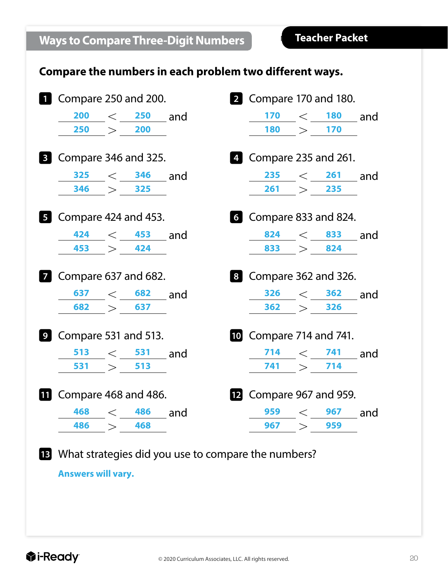#### **Compare the numbers in each problem two different ways.**



**Answers will vary.**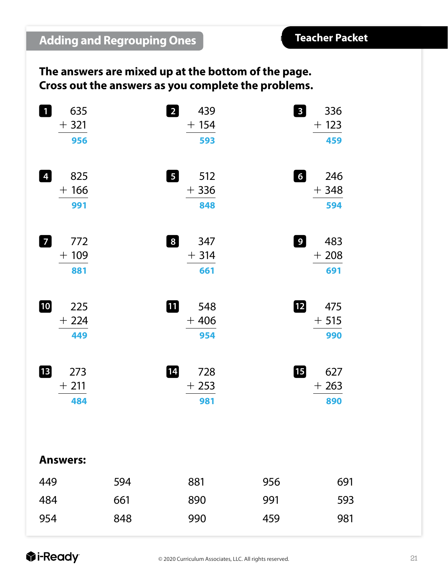#### **The answers are mixed up at the bottom of the page. Cross out the answers as you complete the problems.**

| $\mathbf 1$<br>635<br>$+321$<br>956    |     | $\overline{2}$<br>439<br>$+ 154$<br>593         | $\mathbf{3}$     | 336<br>$+ 123$<br>459 |
|----------------------------------------|-----|-------------------------------------------------|------------------|-----------------------|
| $\overline{4}$<br>825<br>$+166$<br>991 |     | $\overline{\mathbf{5}}$<br>512<br>$+336$<br>848 | $\left[6\right]$ | 246<br>$+348$<br>594  |
| $\overline{7}$<br>772<br>$+109$<br>881 |     | $\boxed{8}$<br>347<br>$+314$<br>661             | 9 <sub>o</sub>   | 483<br>$+208$<br>691  |
| 10<br>225<br>$+224$<br>449             |     | 10<br>548<br>$+406$<br>954                      | $\overline{12}$  | 475<br>$+515$<br>990  |
| 13<br>273<br>$+211$<br>484             |     | 14<br>728<br>$+253$<br>981                      | 15               | 627<br>$+263$<br>890  |
| <b>Answers:</b>                        |     |                                                 |                  |                       |
| 449                                    | 594 | 881                                             | 956              | 691                   |
| 484                                    | 661 | 890                                             | 991              | 593                   |
| 954                                    | 848 | 990                                             | 459              | 981                   |
|                                        |     |                                                 |                  |                       |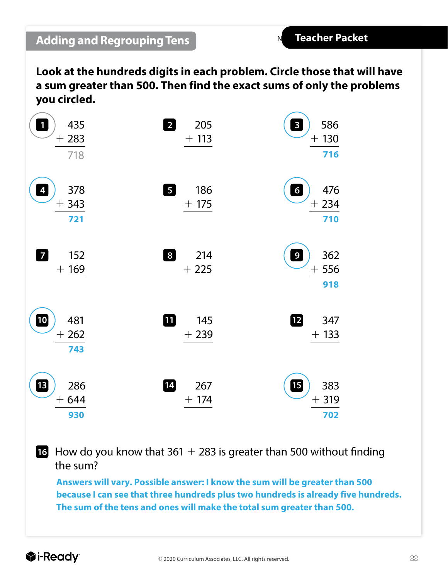#### **Adding and Regrouping Tens**

**Look at the hundreds digits in each problem. Circle those that will have a sum greater than 500. Then find the exact sums of only the problems you circled.**

| $\ddot{\textbf{0}}$<br>435<br>$+283$<br>718                  | $\overline{2}$<br>205<br>$+113$      | 586<br>$\mathbf{3}$<br>$+130$<br>716     |
|--------------------------------------------------------------|--------------------------------------|------------------------------------------|
| 378<br>$\overline{\mathbf{r}}$<br>343<br>$\mathrm{+}$<br>721 | $\boxed{5}$<br>186<br>$+175$         | 476<br>$\boldsymbol{6}$<br>$+234$<br>710 |
| $\overline{7}$<br>152<br>$+169$                              | $\lfloor 8 \rfloor$<br>214<br>$+225$ | 362<br>$\boldsymbol{9}$<br>$+556$<br>918 |
| 10<br>481<br>$+262$<br>743                                   | 佃<br>145<br>$+239$                   | $\boxed{12}$<br>347<br>$+133$            |
| B<br>286<br>$+644$<br>930                                    | 14<br>267<br>$+ 174$                 | 個<br>383<br>$+319$<br>702                |

**16** How do you know that  $361 + 283$  is greater than 500 without finding the sum?

**Answers will vary. Possible answer: I know the sum will be greater than 500 because I can see that three hundreds plus two hundreds is already five hundreds. The sum of the tens and ones will make the total sum greater than 500.**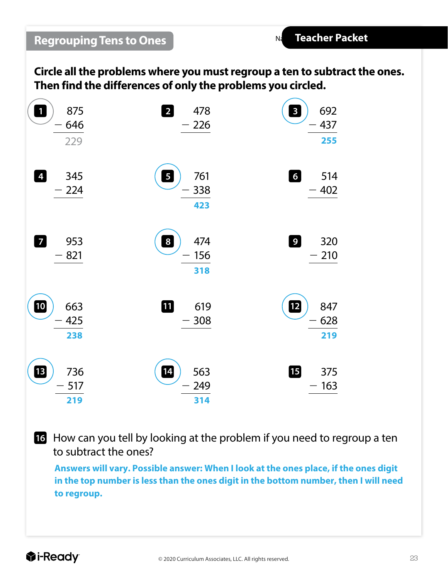$N<sub>d</sub>$ 

**Circle all the problems where you must regroup a ten to subtract the ones. Then find the differences of only the problems you circled.**

| $\mathbf{1}$<br>875<br>646<br>229 | $\overline{2}$<br>478<br>226                 | $\overline{\mathbf{3}}$<br>692<br>437<br>255 |
|-----------------------------------|----------------------------------------------|----------------------------------------------|
| $\overline{4}$<br>345<br>224      | $\overline{\mathbf{5}}$<br>761<br>338<br>423 | $\boldsymbol{6}$<br>514<br>402               |
| $\overline{7}$<br>953<br>821      | $\overline{\mathbf{8}}$<br>474<br>156<br>318 | $\overline{9}$<br>320<br>210                 |
| 10<br>663<br>425<br>238           | 1<br>619<br>308                              | $\boxed{12}$<br>847<br>628<br>219            |
| ß<br>736<br>517<br>219            | 14<br>563<br>249<br>314                      | 個<br>375<br>163                              |

 How can you tell by looking at the problem if you need to regroup a ten to subtract the ones?

**Answers will vary. Possible answer: When I look at the ones place, if the ones digit in the top number is less than the ones digit in the bottom number, then I will need to regroup.**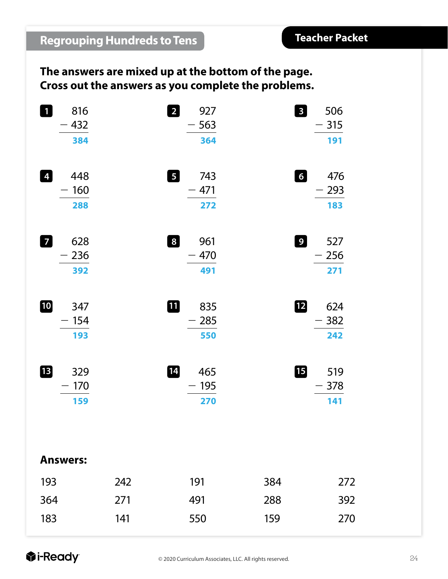#### **The answers are mixed up at the bottom of the page. Cross out the answers as you complete the problems.**

|     | $\overline{2}$<br>927<br>563<br>364                                                                                      |     | $\mathbf{3}$<br>506<br>315<br>191   |
|-----|--------------------------------------------------------------------------------------------------------------------------|-----|-------------------------------------|
|     | $\boxed{5}$<br>743<br>$-471$<br>272                                                                                      |     | $\overline{6}$<br>476<br>293<br>183 |
|     | $\boldsymbol{8}$<br>961<br>470<br>491                                                                                    |     | 9 <sup>1</sup><br>527<br>256<br>271 |
|     | 11<br>835<br>285<br>550                                                                                                  |     | $\mathbf{12}$<br>624<br>382<br>242  |
|     | $\boxed{14}$<br>465<br>195<br>270                                                                                        |     | <b>TB</b><br>519<br>378<br>141      |
|     |                                                                                                                          |     |                                     |
| 242 | 191                                                                                                                      | 384 | 272                                 |
| 271 | 491                                                                                                                      | 288 | 392                                 |
| 141 | 550                                                                                                                      | 159 | 270                                 |
|     | 816<br>432<br>384<br>448<br>160<br>288<br>628<br>236<br>392<br>347<br>154<br>193<br>329<br>170<br>159<br><b>Answers:</b> |     |                                     |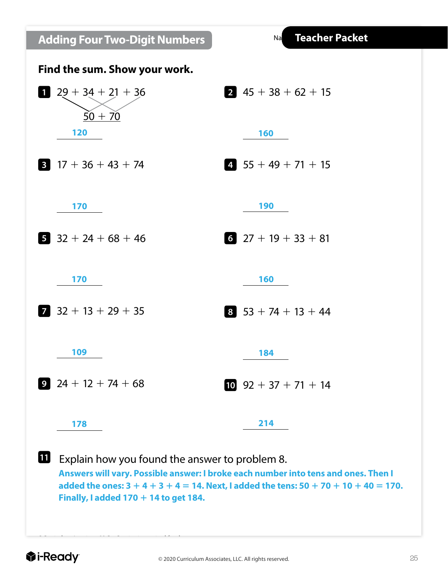**Adding Four Two-Digit Numbers**

Na



**11** Explain how you found the answer to problem 8. **Answers will vary. Possible answer: I broke each number into tens and ones. Then I added the ones: 3** 1 **4** 1 **3** 1 **4** 5 **14. Next, I added the tens: 50** 1 **70** 1 **10** 1 **40** 5 **170. Finally, I added 170** 1 **14 to get 184.**

©Curriculum Associates, LLC Copying is permitted for classroom use.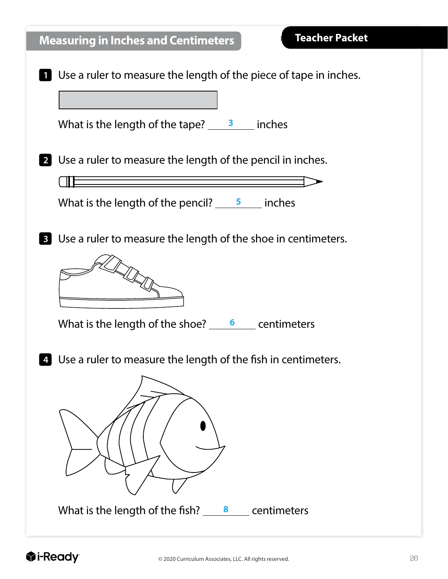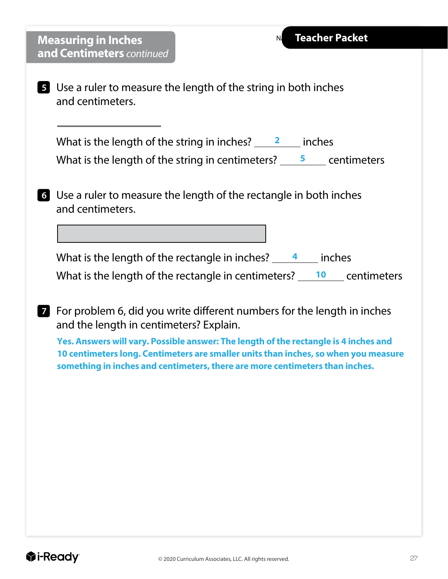| <b>Teacher Packet</b><br>N <sub>i</sub><br><b>Measuring in Inches</b>                                                                                                                                               |
|---------------------------------------------------------------------------------------------------------------------------------------------------------------------------------------------------------------------|
| and Centimeters continued                                                                                                                                                                                           |
| <b>5</b> Use a ruler to measure the length of the string in both inches<br>and centimeters.                                                                                                                         |
| What is the length of the string in inches? $\frac{2}{\sqrt{2}}$ inches<br>What is the length of the string in centimeters? $\frac{5}{2}$ centimeters                                                               |
| <b>6</b> Use a ruler to measure the length of the rectangle in both inches<br>and centimeters.                                                                                                                      |
|                                                                                                                                                                                                                     |
| What is the length of the rectangle in inches? $\frac{4}{1}$ inches                                                                                                                                                 |
| What is the length of the rectangle in centimeters? $\frac{10}{10}$ centimeters                                                                                                                                     |
| <b>7</b> For problem 6, did you write different numbers for the length in inches<br>and the length in centimeters? Explain.<br>Yes. Answers will vary. Possible answer: The length of the rectangle is 4 inches and |
| 10 centimeters long. Centimeters are smaller units than inches, so when you measure<br>something in inches and centimeters, there are more centimeters than inches.                                                 |
|                                                                                                                                                                                                                     |
|                                                                                                                                                                                                                     |
|                                                                                                                                                                                                                     |
|                                                                                                                                                                                                                     |
|                                                                                                                                                                                                                     |
|                                                                                                                                                                                                                     |
|                                                                                                                                                                                                                     |
|                                                                                                                                                                                                                     |
|                                                                                                                                                                                                                     |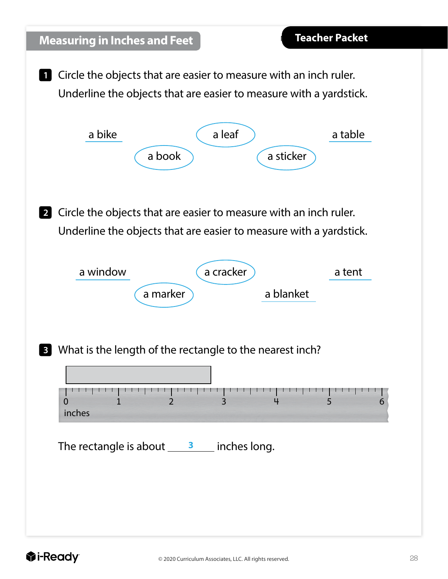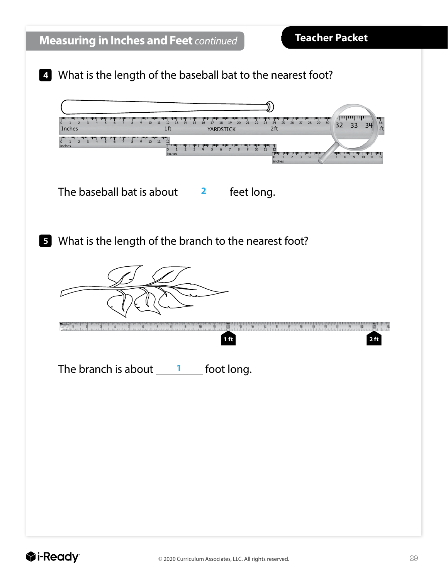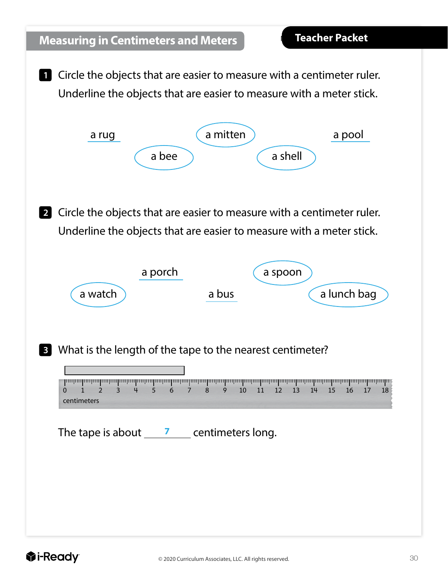